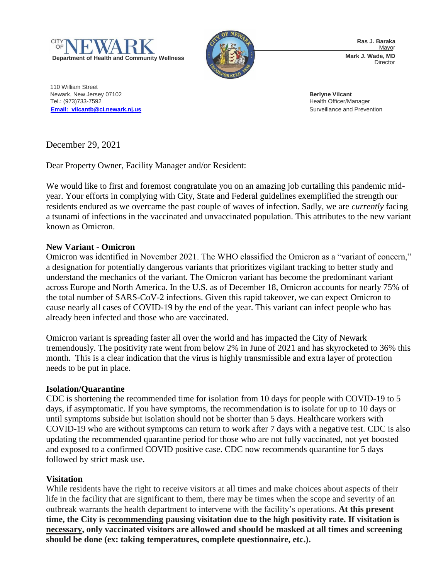



**Ras J. Baraka** Mayor **Mark J. Wade, MD** Director

110 William Street Newark, New Jersey 07102 **Berlyne Vilcant** Tel.: (973)733-7592 Health Officer/Manager **[Email: vilcantb@ci.newark.nj.us](mailto:Email:%20%20vilcantb@ci.newark.nj.us)** Surveillance and Prevention

December 29, 2021

Dear Property Owner, Facility Manager and/or Resident:

We would like to first and foremost congratulate you on an amazing job curtailing this pandemic midyear. Your efforts in complying with City, State and Federal guidelines exemplified the strength our residents endured as we overcame the past couple of waves of infection. Sadly, we are *currently* facing a tsunami of infections in the vaccinated and unvaccinated population. This attributes to the new variant known as Omicron.

# **New Variant - Omicron**

Omicron was identified in November 2021. The WHO classified the Omicron as a "variant of concern," a designation for potentially dangerous variants that prioritizes vigilant tracking to better study and understand the mechanics of the variant. The Omicron variant has become the predominant variant across Europe and North America. In the U.S. as of December 18, Omicron accounts for nearly 75% of the total number of SARS-CoV-2 infections. Given this rapid takeover, we can expect Omicron to cause nearly all cases of COVID-19 by the end of the year. This variant can infect people who has already been infected and those who are vaccinated.

Omicron variant is spreading faster all over the world and has impacted the City of Newark tremendously. The positivity rate went from below 2% in June of 2021 and has skyrocketed to 36% this month. This is a clear indication that the virus is highly transmissible and extra layer of protection needs to be put in place.

# **Isolation/Quarantine**

CDC is shortening the recommended time for isolation from 10 days for people with COVID-19 to 5 days, if asymptomatic. If you have symptoms, the recommendation is to isolate for up to 10 days or until symptoms subside but isolation should not be shorter than 5 days. Healthcare workers with COVID-19 who are without symptoms can return to work after 7 days with a negative test. CDC is also updating the recommended quarantine period for those who are not fully vaccinated, not yet boosted and exposed to a confirmed COVID positive case. CDC now recommends quarantine for 5 days followed by strict mask use.

# **Visitation**

While residents have the right to receive visitors at all times and make choices about aspects of their life in the facility that are significant to them, there may be times when the scope and severity of an outbreak warrants the health department to intervene with the facility's operations. **At this present time, the City is recommending pausing visitation due to the high positivity rate. If visitation is necessary, only vaccinated visitors are allowed and should be masked at all times and screening should be done (ex: taking temperatures, complete questionnaire, etc.).**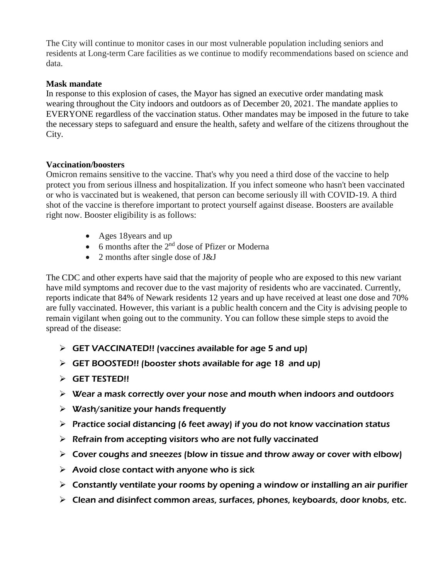The City will continue to monitor cases in our most vulnerable population including seniors and residents at Long-term Care facilities as we continue to modify recommendations based on science and data.

### **Mask mandate**

In response to this explosion of cases, the Mayor has signed an executive order mandating mask wearing throughout the City indoors and outdoors as of December 20, 2021. The mandate applies to EVERYONE regardless of the vaccination status. Other mandates may be imposed in the future to take the necessary steps to safeguard and ensure the health, safety and welfare of the citizens throughout the City.

### **Vaccination/boosters**

Omicron remains sensitive to the vaccine. That's why you need a third dose of the vaccine to help protect you from serious illness and hospitalization. If you infect someone who hasn't been vaccinated or who is vaccinated but is weakened, that person can become seriously ill with COVID-19. A third shot of the vaccine is therefore important to protect yourself against disease. Boosters are available right now. Booster eligibility is as follows:

- Ages 18 years and up
- $\bullet$  6 months after the 2<sup>nd</sup> dose of Pfizer or Moderna
- 2 months after single dose of J&J

The CDC and other experts have said that the majority of people who are exposed to this new variant have mild symptoms and recover due to the vast majority of residents who are vaccinated. Currently, reports indicate that 84% of Newark residents 12 years and up have received at least one dose and 70% are fully vaccinated. However, this variant is a public health concern and the City is advising people to remain vigilant when going out to the community. You can follow these simple steps to avoid the spread of the disease:

- $\triangleright$  GET VACCINATED!! (vaccines available for age 5 and up)
- $\triangleright$  GET BOOSTED!! (booster shots available for age 18 and up)
- $\triangleright$  GET TESTED!!
- $\triangleright$  Wear a mask correctly over your nose and mouth when indoors and outdoors
- $\triangleright$  Wash/sanitize your hands frequently
- $\triangleright$  Practice social distancing (6 feet away) if you do not know vaccination status
- $\triangleright$  Refrain from accepting visitors who are not fully vaccinated
- $\triangleright$  Cover coughs and sneezes (blow in tissue and throw away or cover with elbow)
- $\triangleright$  Avoid close contact with anyone who is sick
- $\triangleright$  Constantly ventilate your rooms by opening a window or installing an air purifier
- $\triangleright$  Clean and disinfect common areas, surfaces, phones, keyboards, door knobs, etc.